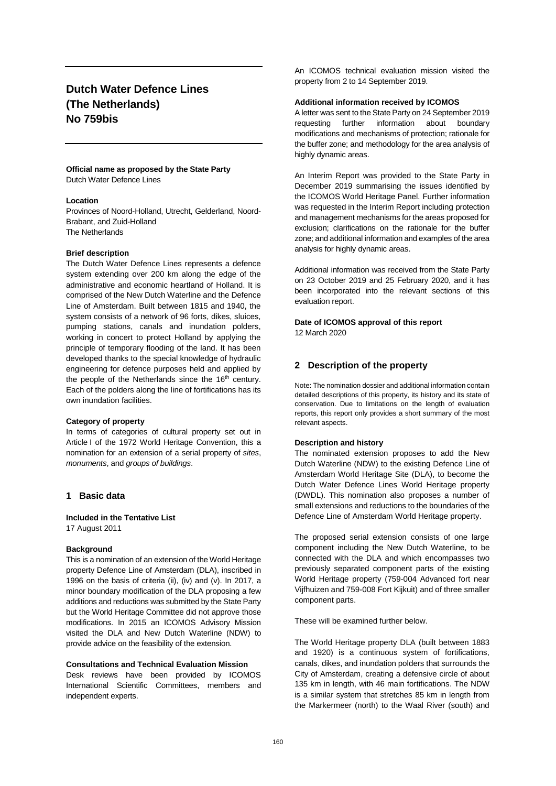# **Dutch Water Defence Lines (The Netherlands) No 759bis**

#### **Official name as proposed by the State Party** Dutch Water Defence Lines

#### **Location**

Provinces of Noord-Holland, Utrecht, Gelderland, Noord-Brabant, and Zuid-Holland The Netherlands

### **Brief description**

The Dutch Water Defence Lines represents a defence system extending over 200 km along the edge of the administrative and economic heartland of Holland. It is comprised of the New Dutch Waterline and the Defence Line of Amsterdam. Built between 1815 and 1940, the system consists of a network of 96 forts, dikes, sluices, pumping stations, canals and inundation polders, working in concert to protect Holland by applying the principle of temporary flooding of the land. It has been developed thanks to the special knowledge of hydraulic engineering for defence purposes held and applied by the people of the Netherlands since the 16<sup>th</sup> century. Each of the polders along the line of fortifications has its own inundation facilities.

#### **Category of property**

In terms of categories of cultural property set out in Article I of the 1972 World Heritage Convention, this a nomination for an extension of a serial property of *sites*, *monuments*, and *groups of buildings*.

# **1 Basic data**

**Included in the Tentative List**

17 August 2011

#### **Background**

This is a nomination of an extension of the World Heritage property Defence Line of Amsterdam (DLA), inscribed in 1996 on the basis of criteria (ii), (iv) and (v). In 2017, a minor boundary modification of the DLA proposing a few additions and reductions was submitted by the State Party but the World Heritage Committee did not approve those modifications. In 2015 an ICOMOS Advisory Mission visited the DLA and New Dutch Waterline (NDW) to provide advice on the feasibility of the extension.

### **Consultations and Technical Evaluation Mission**

Desk reviews have been provided by ICOMOS International Scientific Committees, members and independent experts.

An ICOMOS technical evaluation mission visited the property from 2 to 14 September 2019.

#### **Additional information received by ICOMOS**

A letter was sent to the State Party on 24 September 2019 requesting further information about boundary modifications and mechanisms of protection; rationale for the buffer zone; and methodology for the area analysis of highly dynamic areas.

An Interim Report was provided to the State Party in December 2019 summarising the issues identified by the ICOMOS World Heritage Panel. Further information was requested in the Interim Report including protection and management mechanisms for the areas proposed for exclusion; clarifications on the rationale for the buffer zone; and additional information and examples of the area analysis for highly dynamic areas.

Additional information was received from the State Party on 23 October 2019 and 25 February 2020, and it has been incorporated into the relevant sections of this evaluation report.

# **Date of ICOMOS approval of this report**

12 March 2020

# **2 Description of the property**

Note: The nomination dossier and additional information contain detailed descriptions of this property, its history and its state of conservation. Due to limitations on the length of evaluation reports, this report only provides a short summary of the most relevant aspects.

### **Description and history**

The nominated extension proposes to add the New Dutch Waterline (NDW) to the existing Defence Line of Amsterdam World Heritage Site (DLA), to become the Dutch Water Defence Lines World Heritage property (DWDL). This nomination also proposes a number of small extensions and reductions to the boundaries of the Defence Line of Amsterdam World Heritage property.

The proposed serial extension consists of one large component including the New Dutch Waterline, to be connected with the DLA and which encompasses two previously separated component parts of the existing World Heritage property (759-004 Advanced fort near Vijfhuizen and 759-008 Fort Kijkuit) and of three smaller component parts.

These will be examined further below.

The World Heritage property DLA (built between 1883 and 1920) is a continuous system of fortifications, canals, dikes, and inundation polders that surrounds the City of Amsterdam, creating a defensive circle of about 135 km in length, with 46 main fortifications. The NDW is a similar system that stretches 85 km in length from the Markermeer (north) to the Waal River (south) and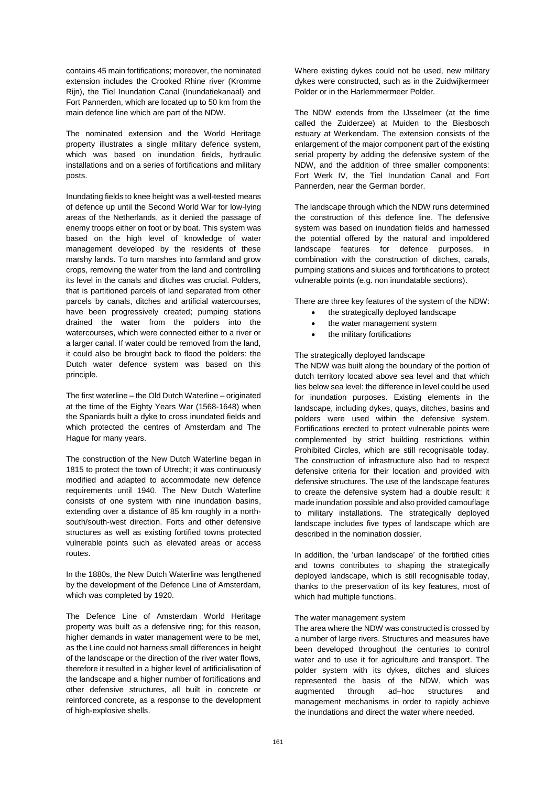contains 45 main fortifications; moreover, the nominated extension includes the Crooked Rhine river (Kromme Rijn), the Tiel Inundation Canal (Inundatiekanaal) and Fort Pannerden, which are located up to 50 km from the main defence line which are part of the NDW.

The nominated extension and the World Heritage property illustrates a single military defence system, which was based on inundation fields, hydraulic installations and on a series of fortifications and military posts.

Inundating fields to knee height was a well-tested means of defence up until the Second World War for low-lying areas of the Netherlands, as it denied the passage of enemy troops either on foot or by boat. This system was based on the high level of knowledge of water management developed by the residents of these marshy lands. To turn marshes into farmland and grow crops, removing the water from the land and controlling its level in the canals and ditches was crucial. Polders, that is partitioned parcels of land separated from other parcels by canals, ditches and artificial watercourses, have been progressively created; pumping stations drained the water from the polders into the watercourses, which were connected either to a river or a larger canal. If water could be removed from the land, it could also be brought back to flood the polders: the Dutch water defence system was based on this principle.

The first waterline – the Old Dutch Waterline – originated at the time of the Eighty Years War (1568-1648) when the Spaniards built a dyke to cross inundated fields and which protected the centres of Amsterdam and The Hague for many years.

The construction of the New Dutch Waterline began in 1815 to protect the town of Utrecht; it was continuously modified and adapted to accommodate new defence requirements until 1940. The New Dutch Waterline consists of one system with nine inundation basins, extending over a distance of 85 km roughly in a northsouth/south-west direction. Forts and other defensive structures as well as existing fortified towns protected vulnerable points such as elevated areas or access routes.

In the 1880s, the New Dutch Waterline was lengthened by the development of the Defence Line of Amsterdam, which was completed by 1920.

The Defence Line of Amsterdam World Heritage property was built as a defensive ring; for this reason, higher demands in water management were to be met, as the Line could not harness small differences in height of the landscape or the direction of the river water flows, therefore it resulted in a higher level of artificialisation of the landscape and a higher number of fortifications and other defensive structures, all built in concrete or reinforced concrete, as a response to the development of high-explosive shells.

Where existing dykes could not be used, new military dykes were constructed, such as in the Zuidwijkermeer Polder or in the Harlemmermeer Polder.

The NDW extends from the IJsselmeer (at the time called the Zuiderzee) at Muiden to the Biesbosch estuary at Werkendam. The extension consists of the enlargement of the major component part of the existing serial property by adding the defensive system of the NDW, and the addition of three smaller components: Fort Werk IV, the Tiel Inundation Canal and Fort Pannerden, near the German border.

The landscape through which the NDW runs determined the construction of this defence line. The defensive system was based on inundation fields and harnessed the potential offered by the natural and impoldered landscape features for defence purposes, in combination with the construction of ditches, canals, pumping stations and sluices and fortifications to protect vulnerable points (e.g. non inundatable sections).

There are three key features of the system of the NDW:

- the strategically deployed landscape
- the water management system
- the military fortifications

# The strategically deployed landscape

The NDW was built along the boundary of the portion of dutch territory located above sea level and that which lies below sea level: the difference in level could be used for inundation purposes. Existing elements in the landscape, including dykes, quays, ditches, basins and polders were used within the defensive system. Fortifications erected to protect vulnerable points were complemented by strict building restrictions within Prohibited Circles, which are still recognisable today. The construction of infrastructure also had to respect defensive criteria for their location and provided with defensive structures. The use of the landscape features to create the defensive system had a double result: it made inundation possible and also provided camouflage to military installations. The strategically deployed landscape includes five types of landscape which are described in the nomination dossier.

In addition, the 'urban landscape' of the fortified cities and towns contributes to shaping the strategically deployed landscape, which is still recognisable today, thanks to the preservation of its key features, most of which had multiple functions.

# The water management system

The area where the NDW was constructed is crossed by a number of large rivers. Structures and measures have been developed throughout the centuries to control water and to use it for agriculture and transport. The polder system with its dykes, ditches and sluices represented the basis of the NDW, which was augmented through ad–hoc structures and management mechanisms in order to rapidly achieve the inundations and direct the water where needed.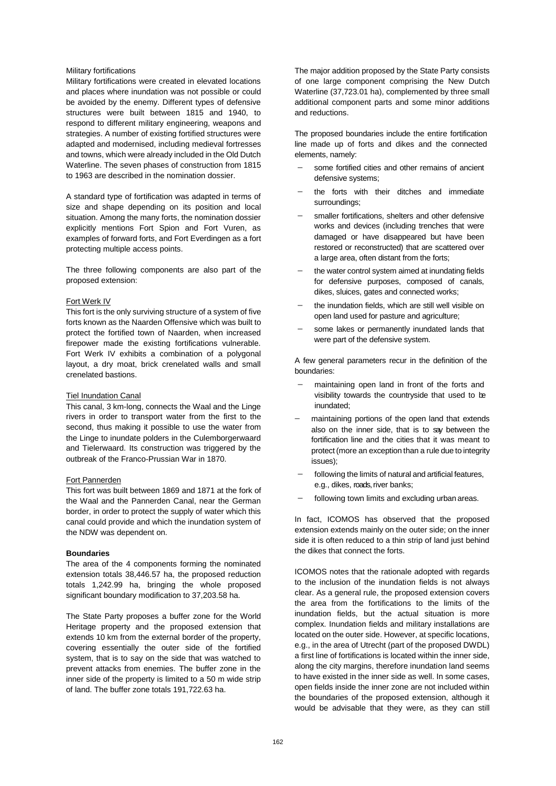### Military fortifications

Military fortifications were created in elevated locations and places where inundation was not possible or could be avoided by the enemy. Different types of defensive structures were built between 1815 and 1940, to respond to different military engineering, weapons and strategies. A number of existing fortified structures were adapted and modernised, including medieval fortresses and towns, which were already included in the Old Dutch Waterline. The seven phases of construction from 1815 to 1963 are described in the nomination dossier.

A standard type of fortification was adapted in terms of size and shape depending on its position and local situation. Among the many forts, the nomination dossier explicitly mentions Fort Spion and Fort Vuren, as examples of forward forts, and Fort Everdingen as a fort protecting multiple access points.

The three following components are also part of the proposed extension:

#### Fort Werk IV

This fort is the only surviving structure of a system of five forts known as the Naarden Offensive which was built to protect the fortified town of Naarden, when increased firepower made the existing fortifications vulnerable. Fort Werk IV exhibits a combination of a polygonal layout, a dry moat, brick crenelated walls and small crenelated bastions.

### Tiel Inundation Canal

This canal, 3 km-long, connects the Waal and the Linge rivers in order to transport water from the first to the second, thus making it possible to use the water from the Linge to inundate polders in the Culemborgerwaard and Tielerwaard. Its construction was triggered by the outbreak of the Franco-Prussian War in 1870.

### Fort Pannerden

This fort was built between 1869 and 1871 at the fork of the Waal and the Pannerden Canal, near the German border, in order to protect the supply of water which this canal could provide and which the inundation system of the NDW was dependent on.

#### **Boundaries**

The area of the 4 components forming the nominated extension totals 38,446.57 ha, the proposed reduction totals 1,242.99 ha, bringing the whole proposed significant boundary modification to 37,203.58 ha.

The State Party proposes a buffer zone for the World Heritage property and the proposed extension that extends 10 km from the external border of the property, covering essentially the outer side of the fortified system, that is to say on the side that was watched to prevent attacks from enemies. The buffer zone in the inner side of the property is limited to a 50 m wide strip of land. The buffer zone totals 191,722.63 ha.

The major addition proposed by the State Party consists of one large component comprising the New Dutch Waterline (37,723.01 ha), complemented by three small additional component parts and some minor additions and reductions.

The proposed boundaries include the entire fortification line made up of forts and dikes and the connected elements, namely:

- some fortified cities and other remains of ancient defensive systems;
- the forts with their ditches and immediate surroundings;
- smaller fortifications, shelters and other defensive works and devices (including trenches that were damaged or have disappeared but have been restored or reconstructed) that are scattered over a large area, often distant from the forts;
- the water control system aimed at inundating fields for defensive purposes, composed of canals, dikes, sluices, gates and connected works;
- the inundation fields, which are still well visible on open land used for pasture and agriculture;
- some lakes or permanently inundated lands that were part of the defensive system.

A few general parameters recur in the definition of the boundaries:

- maintaining open land in front of the forts and visibility towards the countryside that used to be inundated;
- maintaining portions of the open land that extends also on the inner side, that is to say between the fortification line and the cities that it was meant to protect (more an exception than a rule due to integrity issues);
- following the limits of natural and artificial features, e.g., dikes, roads, river banks;
- following town limits and excluding urban areas.

In fact, ICOMOS has observed that the proposed extension extends mainly on the outer side; on the inner side it is often reduced to a thin strip of land just behind the dikes that connect the forts.

ICOMOS notes that the rationale adopted with regards to the inclusion of the inundation fields is not always clear. As a general rule, the proposed extension covers the area from the fortifications to the limits of the inundation fields, but the actual situation is more complex. Inundation fields and military installations are located on the outer side. However, at specific locations, e.g., in the area of Utrecht (part of the proposed DWDL) a first line of fortifications is located within the inner side, along the city margins, therefore inundation land seems to have existed in the inner side as well. In some cases, open fields inside the inner zone are not included within the boundaries of the proposed extension, although it would be advisable that they were, as they can still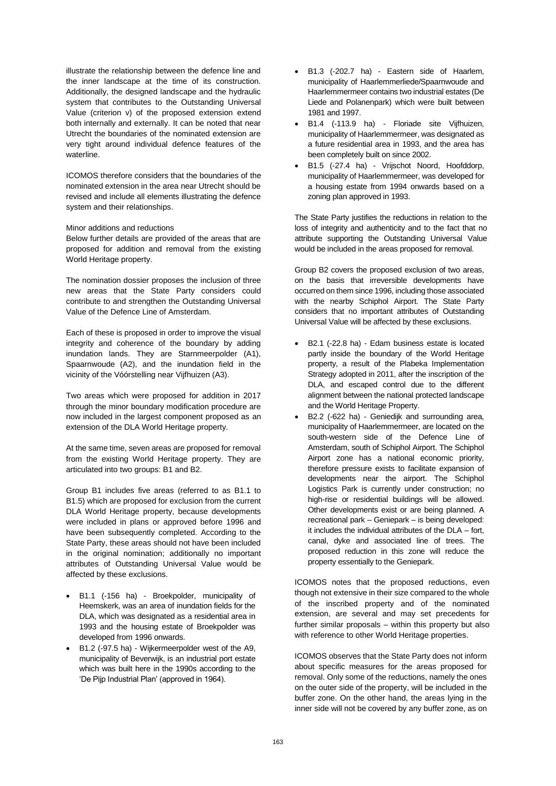illustrate the relationship between the defence line and the inner landscape at the time of its construction. Additionally, the designed landscape and the hydraulic system that contributes to the Outstanding Universal Value (criterion v) of the proposed extension extend both internally and externally. It can be noted that near Utrecht the boundaries of the nominated extension are very tight around individual defence features of the waterline.

ICOMOS therefore considers that the boundaries of the nominated extension in the area near Utrecht should be revised and include all elements illustrating the defence system and their relationships.

#### Minor additions and reductions

Below further details are provided of the areas that are proposed for addition and removal from the existing World Heritage property.

The nomination dossier proposes the inclusion of three new areas that the State Party considers could contribute to and strengthen the Outstanding Universal Value of the Defence Line of Amsterdam.

Each of these is proposed in order to improve the visual integrity and coherence of the boundary by adding inundation lands. They are Starnmeerpolder (A1), Spaarnwoude (A2), and the inundation field in the vicinity of the Vóórstelling near Vijfhuizen (A3).

Two areas which were proposed for addition in 2017 through the minor boundary modification procedure are now included in the largest component proposed as an extension of the DLA World Heritage property.

At the same time, seven areas are proposed for removal from the existing World Heritage property. They are articulated into two groups: B1 and B2.

Group B1 includes five areas (referred to as B1.1 to B1.5) which are proposed for exclusion from the current DLA World Heritage property, because developments were included in plans or approved before 1996 and have been subsequently completed. According to the State Party, these areas should not have been included in the original nomination; additionally no important attributes of Outstanding Universal Value would be affected by these exclusions.

- B1.1 (-156 ha) Broekpolder, municipality of Heemskerk, was an area of inundation fields for the DLA, which was designated as a residential area in 1993 and the housing estate of Broekpolder was developed from 1996 onwards.
- B1.2 (-97.5 ha) Wijkermeerpolder west of the A9, municipality of Beverwijk, is an industrial port estate which was built here in the 1990s according to the 'De Pijp Industrial Plan' (approved in 1964).
- B1.3 (-202.7 ha) Eastern side of Haarlem, municipality of Haarlemmerliede/Spaarnwoude and Haarlemmermeer contains two industrial estates (De Liede and Polanenpark) which were built between 1981 and 1997.
- B1.4 (-113.9 ha) Floriade site Vijfhuizen, municipality of Haarlemmermeer, was designated as a future residential area in 1993, and the area has been completely built on since 2002.
- B1.5 (-27.4 ha) Vrijschot Noord, Hoofddorp, municipality of Haarlemmermeer, was developed for a housing estate from 1994 onwards based on a zoning plan approved in 1993.

The State Party justifies the reductions in relation to the loss of integrity and authenticity and to the fact that no attribute supporting the Outstanding Universal Value would be included in the areas proposed for removal.

Group B2 covers the proposed exclusion of two areas, on the basis that irreversible developments have occurred on them since 1996, including those associated with the nearby Schiphol Airport. The State Party considers that no important attributes of Outstanding Universal Value will be affected by these exclusions.

- B2.1 (-22.8 ha) Edam business estate is located partly inside the boundary of the World Heritage property, a result of the Plabeka Implementation Strategy adopted in 2011, after the inscription of the DLA, and escaped control due to the different alignment between the national protected landscape and the World Heritage Property.
- B2.2 (-622 ha) Geniedijk and surrounding area, municipality of Haarlemmermeer, are located on the south-western side of the Defence Line of Amsterdam, south of Schiphol Airport. The Schiphol Airport zone has a national economic priority, therefore pressure exists to facilitate expansion of developments near the airport. The Schiphol Logistics Park is currently under construction; no high-rise or residential buildings will be allowed. Other developments exist or are being planned. A recreational park – Geniepark – is being developed: it includes the individual attributes of the DLA – fort, canal, dyke and associated line of trees. The proposed reduction in this zone will reduce the property essentially to the Geniepark.

ICOMOS notes that the proposed reductions, even though not extensive in their size compared to the whole of the inscribed property and of the nominated extension, are several and may set precedents for further similar proposals – within this property but also with reference to other World Heritage properties.

ICOMOS observes that the State Party does not inform about specific measures for the areas proposed for removal. Only some of the reductions, namely the ones on the outer side of the property, will be included in the buffer zone. On the other hand, the areas lying in the inner side will not be covered by any buffer zone, as on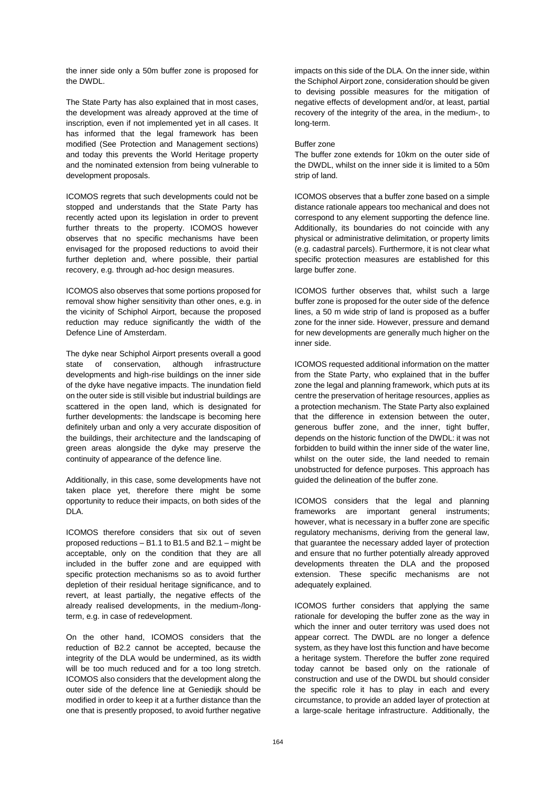the inner side only a 50m buffer zone is proposed for the DWDL.

The State Party has also explained that in most cases, the development was already approved at the time of inscription, even if not implemented yet in all cases. It has informed that the legal framework has been modified (See Protection and Management sections) and today this prevents the World Heritage property and the nominated extension from being vulnerable to development proposals.

ICOMOS regrets that such developments could not be stopped and understands that the State Party has recently acted upon its legislation in order to prevent further threats to the property. ICOMOS however observes that no specific mechanisms have been envisaged for the proposed reductions to avoid their further depletion and, where possible, their partial recovery, e.g. through ad-hoc design measures.

ICOMOS also observes that some portions proposed for removal show higher sensitivity than other ones, e.g. in the vicinity of Schiphol Airport, because the proposed reduction may reduce significantly the width of the Defence Line of Amsterdam.

The dyke near Schiphol Airport presents overall a good state of conservation, although infrastructure developments and high-rise buildings on the inner side of the dyke have negative impacts. The inundation field on the outer side is still visible but industrial buildings are scattered in the open land, which is designated for further developments: the landscape is becoming here definitely urban and only a very accurate disposition of the buildings, their architecture and the landscaping of green areas alongside the dyke may preserve the continuity of appearance of the defence line.

Additionally, in this case, some developments have not taken place yet, therefore there might be some opportunity to reduce their impacts, on both sides of the DLA.

ICOMOS therefore considers that six out of seven proposed reductions – B1.1 to B1.5 and B2.1 – might be acceptable, only on the condition that they are all included in the buffer zone and are equipped with specific protection mechanisms so as to avoid further depletion of their residual heritage significance, and to revert, at least partially, the negative effects of the already realised developments, in the medium-/longterm, e.g. in case of redevelopment.

On the other hand, ICOMOS considers that the reduction of B2.2 cannot be accepted, because the integrity of the DLA would be undermined, as its width will be too much reduced and for a too long stretch. ICOMOS also considers that the development along the outer side of the defence line at Geniedijk should be modified in order to keep it at a further distance than the one that is presently proposed, to avoid further negative

impacts on this side of the DLA. On the inner side, within the Schiphol Airport zone, consideration should be given to devising possible measures for the mitigation of negative effects of development and/or, at least, partial recovery of the integrity of the area, in the medium-, to long-term.

#### Buffer zone

The buffer zone extends for 10km on the outer side of the DWDL, whilst on the inner side it is limited to a 50m strip of land.

ICOMOS observes that a buffer zone based on a simple distance rationale appears too mechanical and does not correspond to any element supporting the defence line. Additionally, its boundaries do not coincide with any physical or administrative delimitation, or property limits (e.g. cadastral parcels). Furthermore, it is not clear what specific protection measures are established for this large buffer zone.

ICOMOS further observes that, whilst such a large buffer zone is proposed for the outer side of the defence lines, a 50 m wide strip of land is proposed as a buffer zone for the inner side. However, pressure and demand for new developments are generally much higher on the inner side.

ICOMOS requested additional information on the matter from the State Party, who explained that in the buffer zone the legal and planning framework, which puts at its centre the preservation of heritage resources, applies as a protection mechanism. The State Party also explained that the difference in extension between the outer, generous buffer zone, and the inner, tight buffer, depends on the historic function of the DWDL: it was not forbidden to build within the inner side of the water line, whilst on the outer side, the land needed to remain unobstructed for defence purposes. This approach has guided the delineation of the buffer zone.

ICOMOS considers that the legal and planning frameworks are important general instruments; however, what is necessary in a buffer zone are specific regulatory mechanisms, deriving from the general law, that guarantee the necessary added layer of protection and ensure that no further potentially already approved developments threaten the DLA and the proposed extension. These specific mechanisms are not adequately explained.

ICOMOS further considers that applying the same rationale for developing the buffer zone as the way in which the inner and outer territory was used does not appear correct. The DWDL are no longer a defence system, as they have lost this function and have become a heritage system. Therefore the buffer zone required today cannot be based only on the rationale of construction and use of the DWDL but should consider the specific role it has to play in each and every circumstance, to provide an added layer of protection at a large-scale heritage infrastructure. Additionally, the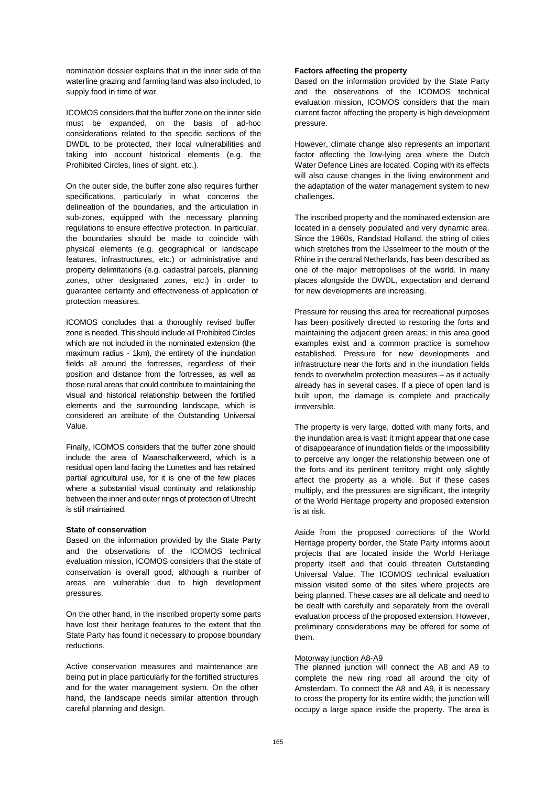nomination dossier explains that in the inner side of the waterline grazing and farming land was also included, to supply food in time of war.

ICOMOS considers that the buffer zone on the inner side must be expanded, on the basis of ad-hoc considerations related to the specific sections of the DWDL to be protected, their local vulnerabilities and taking into account historical elements (e.g. the Prohibited Circles, lines of sight, etc.).

On the outer side, the buffer zone also requires further specifications, particularly in what concerns the delineation of the boundaries, and the articulation in sub-zones, equipped with the necessary planning regulations to ensure effective protection. In particular, the boundaries should be made to coincide with physical elements (e.g. geographical or landscape features, infrastructures, etc.) or administrative and property delimitations (e.g. cadastral parcels, planning zones, other designated zones, etc.) in order to guarantee certainty and effectiveness of application of protection measures.

ICOMOS concludes that a thoroughly revised buffer zone is needed. This should include all Prohibited Circles which are not included in the nominated extension (the maximum radius - 1km), the entirety of the inundation fields all around the fortresses, regardless of their position and distance from the fortresses, as well as those rural areas that could contribute to maintaining the visual and historical relationship between the fortified elements and the surrounding landscape, which is considered an attribute of the Outstanding Universal Value.

Finally, ICOMOS considers that the buffer zone should include the area of Maarschalkerweerd, which is a residual open land facing the Lunettes and has retained partial agricultural use, for it is one of the few places where a substantial visual continuity and relationship between the inner and outer rings of protection of Utrecht is still maintained.

# **State of conservation**

Based on the information provided by the State Party and the observations of the ICOMOS technical evaluation mission, ICOMOS considers that the state of conservation is overall good, although a number of areas are vulnerable due to high development pressures.

On the other hand, in the inscribed property some parts have lost their heritage features to the extent that the State Party has found it necessary to propose boundary reductions.

Active conservation measures and maintenance are being put in place particularly for the fortified structures and for the water management system. On the other hand, the landscape needs similar attention through careful planning and design.

# **Factors affecting the property**

Based on the information provided by the State Party and the observations of the ICOMOS technical evaluation mission, ICOMOS considers that the main current factor affecting the property is high development pressure.

However, climate change also represents an important factor affecting the low-lying area where the Dutch Water Defence Lines are located. Coping with its effects will also cause changes in the living environment and the adaptation of the water management system to new challenges.

The inscribed property and the nominated extension are located in a densely populated and very dynamic area. Since the 1960s, Randstad Holland, the string of cities which stretches from the IJsselmeer to the mouth of the Rhine in the central Netherlands, has been described as one of the major metropolises of the world. In many places alongside the DWDL, expectation and demand for new developments are increasing.

Pressure for reusing this area for recreational purposes has been positively directed to restoring the forts and maintaining the adjacent green areas; in this area good examples exist and a common practice is somehow established. Pressure for new developments and infrastructure near the forts and in the inundation fields tends to overwhelm protection measures – as it actually already has in several cases. If a piece of open land is built upon, the damage is complete and practically irreversible.

The property is very large, dotted with many forts, and the inundation area is vast: it might appear that one case of disappearance of inundation fields or the impossibility to perceive any longer the relationship between one of the forts and its pertinent territory might only slightly affect the property as a whole. But if these cases multiply, and the pressures are significant, the integrity of the World Heritage property and proposed extension is at risk.

Aside from the proposed corrections of the World Heritage property border, the State Party informs about projects that are located inside the World Heritage property itself and that could threaten Outstanding Universal Value. The ICOMOS technical evaluation mission visited some of the sites where projects are being planned. These cases are all delicate and need to be dealt with carefully and separately from the overall evaluation process of the proposed extension. However, preliminary considerations may be offered for some of them.

# Motorway junction A8-A9

The planned junction will connect the A8 and A9 to complete the new ring road all around the city of Amsterdam. To connect the A8 and A9, it is necessary to cross the property for its entire width; the junction will occupy a large space inside the property. The area is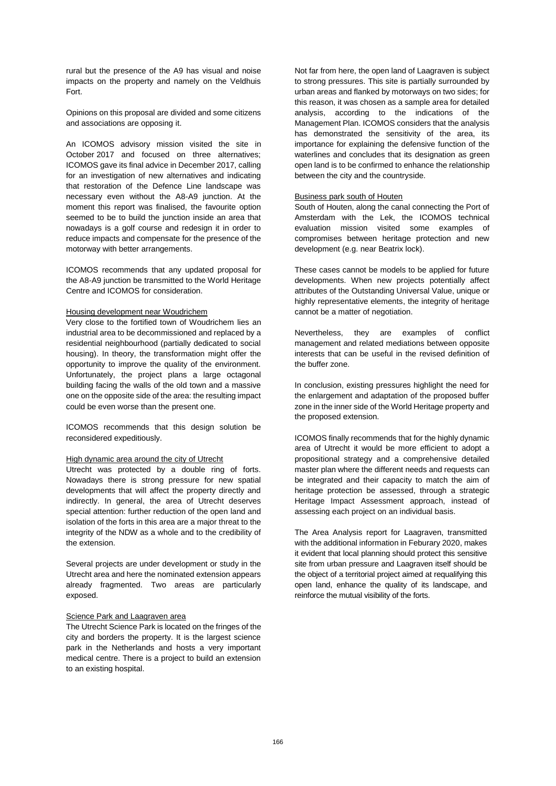rural but the presence of the A9 has visual and noise impacts on the property and namely on the Veldhuis Fort.

Opinions on this proposal are divided and some citizens and associations are opposing it.

An ICOMOS advisory mission visited the site in October 2017 and focused on three alternatives; ICOMOS gave its final advice in December 2017, calling for an investigation of new alternatives and indicating that restoration of the Defence Line landscape was necessary even without the A8-A9 junction. At the moment this report was finalised, the favourite option seemed to be to build the junction inside an area that nowadays is a golf course and redesign it in order to reduce impacts and compensate for the presence of the motorway with better arrangements.

ICOMOS recommends that any updated proposal for the A8-A9 junction be transmitted to the World Heritage Centre and ICOMOS for consideration.

### Housing development near Woudrichem

Very close to the fortified town of Woudrichem lies an industrial area to be decommissioned and replaced by a residential neighbourhood (partially dedicated to social housing). In theory, the transformation might offer the opportunity to improve the quality of the environment. Unfortunately, the project plans a large octagonal building facing the walls of the old town and a massive one on the opposite side of the area: the resulting impact could be even worse than the present one.

ICOMOS recommends that this design solution be reconsidered expeditiously.

### High dynamic area around the city of Utrecht

Utrecht was protected by a double ring of forts. Nowadays there is strong pressure for new spatial developments that will affect the property directly and indirectly. In general, the area of Utrecht deserves special attention: further reduction of the open land and isolation of the forts in this area are a major threat to the integrity of the NDW as a whole and to the credibility of the extension.

Several projects are under development or study in the Utrecht area and here the nominated extension appears already fragmented. Two areas are particularly exposed.

#### Science Park and Laagraven area

The Utrecht Science Park is located on the fringes of the city and borders the property. It is the largest science park in the Netherlands and hosts a very important medical centre. There is a project to build an extension to an existing hospital.

Not far from here, the open land of Laagraven is subject to strong pressures. This site is partially surrounded by urban areas and flanked by motorways on two sides; for this reason, it was chosen as a sample area for detailed analysis, according to the indications of the Management Plan. ICOMOS considers that the analysis has demonstrated the sensitivity of the area, its importance for explaining the defensive function of the waterlines and concludes that its designation as green open land is to be confirmed to enhance the relationship between the city and the countryside.

### Business park south of Houten

South of Houten, along the canal connecting the Port of Amsterdam with the Lek, the ICOMOS technical evaluation mission visited some examples of compromises between heritage protection and new development (e.g. near Beatrix lock).

These cases cannot be models to be applied for future developments. When new projects potentially affect attributes of the Outstanding Universal Value, unique or highly representative elements, the integrity of heritage cannot be a matter of negotiation.

Nevertheless, they are examples of conflict management and related mediations between opposite interests that can be useful in the revised definition of the buffer zone.

In conclusion, existing pressures highlight the need for the enlargement and adaptation of the proposed buffer zone in the inner side of the World Heritage property and the proposed extension.

ICOMOS finally recommends that for the highly dynamic area of Utrecht it would be more efficient to adopt a propositional strategy and a comprehensive detailed master plan where the different needs and requests can be integrated and their capacity to match the aim of heritage protection be assessed, through a strategic Heritage Impact Assessment approach, instead of assessing each project on an individual basis.

The Area Analysis report for Laagraven, transmitted with the additional information in Feburary 2020, makes it evident that local planning should protect this sensitive site from urban pressure and Laagraven itself should be the object of a territorial project aimed at requalifying this open land, enhance the quality of its landscape, and reinforce the mutual visibility of the forts.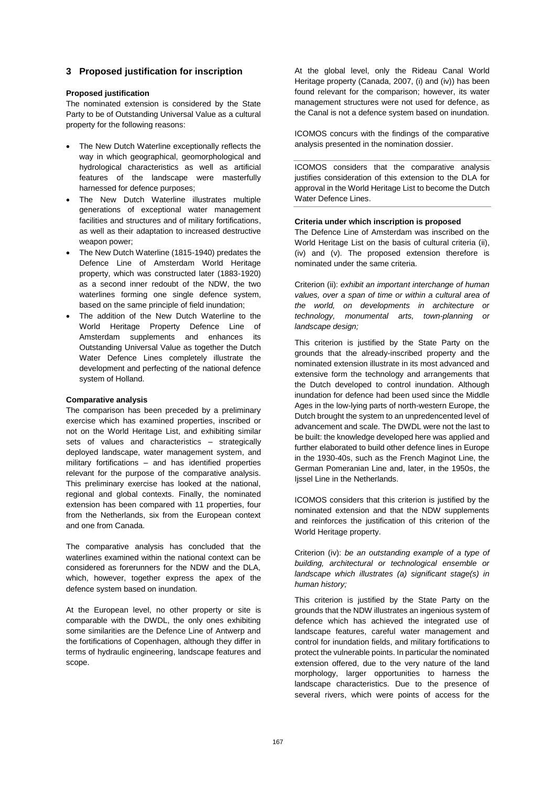# **3 Proposed justification for inscription**

### **Proposed justification**

The nominated extension is considered by the State Party to be of Outstanding Universal Value as a cultural property for the following reasons:

- The New Dutch Waterline exceptionally reflects the way in which geographical, geomorphological and hydrological characteristics as well as artificial features of the landscape were masterfully harnessed for defence purposes;
- The New Dutch Waterline illustrates multiple generations of exceptional water management facilities and structures and of military fortifications, as well as their adaptation to increased destructive weapon power;
- The New Dutch Waterline (1815-1940) predates the Defence Line of Amsterdam World Heritage property, which was constructed later (1883-1920) as a second inner redoubt of the NDW, the two waterlines forming one single defence system, based on the same principle of field inundation;
- The addition of the New Dutch Waterline to the World Heritage Property Defence Line of Amsterdam supplements and enhances its Outstanding Universal Value as together the Dutch Water Defence Lines completely illustrate the development and perfecting of the national defence system of Holland.

#### **Comparative analysis**

The comparison has been preceded by a preliminary exercise which has examined properties, inscribed or not on the World Heritage List, and exhibiting similar sets of values and characteristics – strategically deployed landscape, water management system, and military fortifications – and has identified properties relevant for the purpose of the comparative analysis. This preliminary exercise has looked at the national, regional and global contexts. Finally, the nominated extension has been compared with 11 properties, four from the Netherlands, six from the European context and one from Canada.

The comparative analysis has concluded that the waterlines examined within the national context can be considered as forerunners for the NDW and the DLA, which, however, together express the apex of the defence system based on inundation.

At the European level, no other property or site is comparable with the DWDL, the only ones exhibiting some similarities are the Defence Line of Antwerp and the fortifications of Copenhagen, although they differ in terms of hydraulic engineering, landscape features and scope.

At the global level, only the Rideau Canal World Heritage property (Canada, 2007, (i) and (iv)) has been found relevant for the comparison; however, its water management structures were not used for defence, as the Canal is not a defence system based on inundation.

ICOMOS concurs with the findings of the comparative analysis presented in the nomination dossier.

ICOMOS considers that the comparative analysis justifies consideration of this extension to the DLA for approval in the World Heritage List to become the Dutch Water Defence Lines.

### **Criteria under which inscription is proposed**

The Defence Line of Amsterdam was inscribed on the World Heritage List on the basis of cultural criteria (ii), (iv) and (v). The proposed extension therefore is nominated under the same criteria.

Criterion (ii): *exhibit an important interchange of human values, over a span of time or within a cultural area of the world, on developments in architecture or technology, monumental arts, town-planning or landscape design;*

This criterion is justified by the State Party on the grounds that the already-inscribed property and the nominated extension illustrate in its most advanced and extensive form the technology and arrangements that the Dutch developed to control inundation. Although inundation for defence had been used since the Middle Ages in the low-lying parts of north-western Europe, the Dutch brought the system to an unpredencented level of advancement and scale. The DWDL were not the last to be built: the knowledge developed here was applied and further elaborated to build other defence lines in Europe in the 1930-40s, such as the French Maginot Line, the German Pomeranian Line and, later, in the 1950s, the Ijssel Line in the Netherlands.

ICOMOS considers that this criterion is justified by the nominated extension and that the NDW supplements and reinforces the justification of this criterion of the World Heritage property.

Criterion (iv): *be an outstanding example of a type of building, architectural or technological ensemble or landscape which illustrates (a) significant stage(s) in human history;*

This criterion is justified by the State Party on the grounds that the NDW illustrates an ingenious system of defence which has achieved the integrated use of landscape features, careful water management and control for inundation fields, and military fortifications to protect the vulnerable points. In particular the nominated extension offered, due to the very nature of the land morphology, larger opportunities to harness the landscape characteristics. Due to the presence of several rivers, which were points of access for the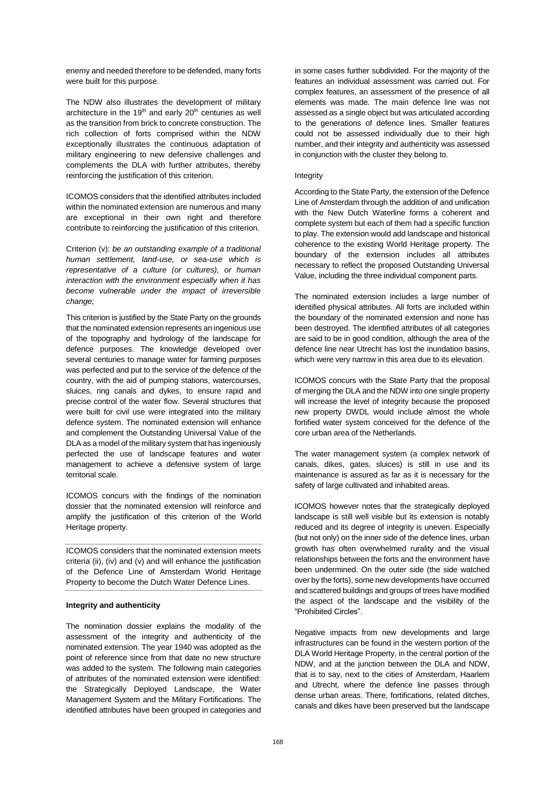enemy and needed therefore to be defended, many forts were built for this purpose.

The NDW also illustrates the development of military architecture in the  $19<sup>th</sup>$  and early  $20<sup>th</sup>$  centuries as well as the transition from brick to concrete construction. The rich collection of forts comprised within the NDW exceptionally illustrates the continuous adaptation of military engineering to new defensive challenges and complements the DLA with further attributes, thereby reinforcing the justification of this criterion.

ICOMOS considers that the identified attributes included within the nominated extension are numerous and many are exceptional in their own right and therefore contribute to reinforcing the justification of this criterion.

Criterion (v): *be an outstanding example of a traditional human settlement, land-use, or sea-use which is representative of a culture (or cultures), or human interaction with the environment especially when it has become vulnerable under the impact of irreversible change;*

This criterion is justified by the State Party on the grounds that the nominated extension represents an ingenious use of the topography and hydrology of the landscape for defence purposes. The knowledge developed over several centuries to manage water for farming purposes was perfected and put to the service of the defence of the country, with the aid of pumping stations, watercourses, sluices, ring canals and dykes, to ensure rapid and precise control of the water flow. Several structures that were built for civil use were integrated into the military defence system. The nominated extension will enhance and complement the Outstanding Universal Value of the DLA as a model of the military system that has ingeniously perfected the use of landscape features and water management to achieve a defensive system of large territorial scale.

ICOMOS concurs with the findings of the nomination dossier that the nominated extension will reinforce and amplify the justification of this criterion of the World Heritage property.

ICOMOS considers that the nominated extension meets criteria (ii), (iv) and (v) and will enhance the justification of the Defence Line of Amsterdam World Heritage Property to become the Dutch Water Defence Lines.

#### **Integrity and authenticity**

The nomination dossier explains the modality of the assessment of the integrity and authenticity of the nominated extension. The year 1940 was adopted as the point of reference since from that date no new structure was added to the system. The following main categories of attributes of the nominated extension were identified: the Strategically Deployed Landscape, the Water Management System and the Military Fortifications. The identified attributes have been grouped in categories and

in some cases further subdivided. For the majority of the features an individual assessment was carried out. For complex features, an assessment of the presence of all elements was made. The main defence line was not assessed as a single object but was articulated according to the generations of defence lines. Smaller features could not be assessed individually due to their high number, and their integrity and authenticity was assessed in conjunction with the cluster they belong to.

#### Integrity

According to the State Party, the extension of the Defence Line of Amsterdam through the addition of and unification with the New Dutch Waterline forms a coherent and complete system but each of them had a specific function to play. The extension would add landscape and historical coherence to the existing World Heritage property. The boundary of the extension includes all attributes necessary to reflect the proposed Outstanding Universal Value, including the three individual component parts.

The nominated extension includes a large number of identified physical attributes. All forts are included within the boundary of the nominated extension and none has been destroyed. The identified attributes of all categories are said to be in good condition, although the area of the defence line near Utrecht has lost the inundation basins, which were very narrow in this area due to its elevation.

ICOMOS concurs with the State Party that the proposal of merging the DLA and the NDW into one single property will increase the level of integrity because the proposed new property DWDL would include almost the whole fortified water system conceived for the defence of the core urban area of the Netherlands.

The water management system (a complex network of canals, dikes, gates, sluices) is still in use and its maintenance is assured as far as it is necessary for the safety of large cultivated and inhabited areas.

ICOMOS however notes that the strategically deployed landscape is still well visible but its extension is notably reduced and its degree of integrity is uneven. Especially (but not only) on the inner side of the defence lines, urban growth has often overwhelmed rurality and the visual relationships between the forts and the environment have been undermined. On the outer side (the side watched over by the forts), some new developments have occurred and scattered buildings and groups of trees have modified the aspect of the landscape and the visibility of the "Prohibited Circles".

Negative impacts from new developments and large infrastructures can be found in the western portion of the DLA World Heritage Property, in the central portion of the NDW, and at the junction between the DLA and NDW, that is to say, next to the cities of Amsterdam, Haarlem and Utrecht, where the defence line passes through dense urban areas. There, fortifications, related ditches, canals and dikes have been preserved but the landscape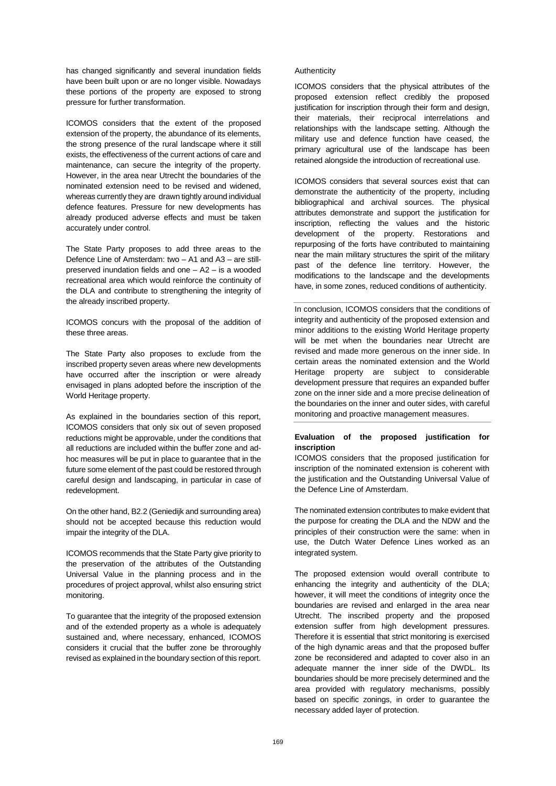has changed significantly and several inundation fields have been built upon or are no longer visible. Nowadays these portions of the property are exposed to strong pressure for further transformation.

ICOMOS considers that the extent of the proposed extension of the property, the abundance of its elements, the strong presence of the rural landscape where it still exists, the effectiveness of the current actions of care and maintenance, can secure the integrity of the property. However, in the area near Utrecht the boundaries of the nominated extension need to be revised and widened, whereas currently they are drawn tightly around individual defence features. Pressure for new developments has already produced adverse effects and must be taken accurately under control.

The State Party proposes to add three areas to the Defence Line of Amsterdam: two – A1 and A3 – are stillpreserved inundation fields and one – A2 – is a wooded recreational area which would reinforce the continuity of the DLA and contribute to strengthening the integrity of the already inscribed property.

ICOMOS concurs with the proposal of the addition of these three areas.

The State Party also proposes to exclude from the inscribed property seven areas where new developments have occurred after the inscription or were already envisaged in plans adopted before the inscription of the World Heritage property.

As explained in the boundaries section of this report, ICOMOS considers that only six out of seven proposed reductions might be approvable, under the conditions that all reductions are included within the buffer zone and adhoc measures will be put in place to guarantee that in the future some element of the past could be restored through careful design and landscaping, in particular in case of redevelopment.

On the other hand, B2.2 (Geniedijk and surrounding area) should not be accepted because this reduction would impair the integrity of the DLA.

ICOMOS recommends that the State Party give priority to the preservation of the attributes of the Outstanding Universal Value in the planning process and in the procedures of project approval, whilst also ensuring strict monitoring.

To guarantee that the integrity of the proposed extension and of the extended property as a whole is adequately sustained and, where necessary, enhanced, ICOMOS considers it crucial that the buffer zone be throroughly revised as explained in the boundary section of this report.

# Authenticity

ICOMOS considers that the physical attributes of the proposed extension reflect credibly the proposed justification for inscription through their form and design, their materials, their reciprocal interrelations and relationships with the landscape setting. Although the military use and defence function have ceased, the primary agricultural use of the landscape has been retained alongside the introduction of recreational use.

ICOMOS considers that several sources exist that can demonstrate the authenticity of the property, including bibliographical and archival sources. The physical attributes demonstrate and support the justification for inscription, reflecting the values and the historic development of the property. Restorations and repurposing of the forts have contributed to maintaining near the main military structures the spirit of the military past of the defence line territory. However, the modifications to the landscape and the developments have, in some zones, reduced conditions of authenticity.

In conclusion, ICOMOS considers that the conditions of integrity and authenticity of the proposed extension and minor additions to the existing World Heritage property will be met when the boundaries near Utrecht are revised and made more generous on the inner side. In certain areas the nominated extension and the World Heritage property are subject to considerable development pressure that requires an expanded buffer zone on the inner side and a more precise delineation of the boundaries on the inner and outer sides, with careful monitoring and proactive management measures.

# **Evaluation of the proposed justification for inscription**

ICOMOS considers that the proposed justification for inscription of the nominated extension is coherent with the justification and the Outstanding Universal Value of the Defence Line of Amsterdam.

The nominated extension contributes to make evident that the purpose for creating the DLA and the NDW and the principles of their construction were the same: when in use, the Dutch Water Defence Lines worked as an integrated system.

The proposed extension would overall contribute to enhancing the integrity and authenticity of the DLA; however, it will meet the conditions of integrity once the boundaries are revised and enlarged in the area near Utrecht. The inscribed property and the proposed extension suffer from high development pressures. Therefore it is essential that strict monitoring is exercised of the high dynamic areas and that the proposed buffer zone be reconsidered and adapted to cover also in an adequate manner the inner side of the DWDL. Its boundaries should be more precisely determined and the area provided with regulatory mechanisms, possibly based on specific zonings, in order to guarantee the necessary added layer of protection.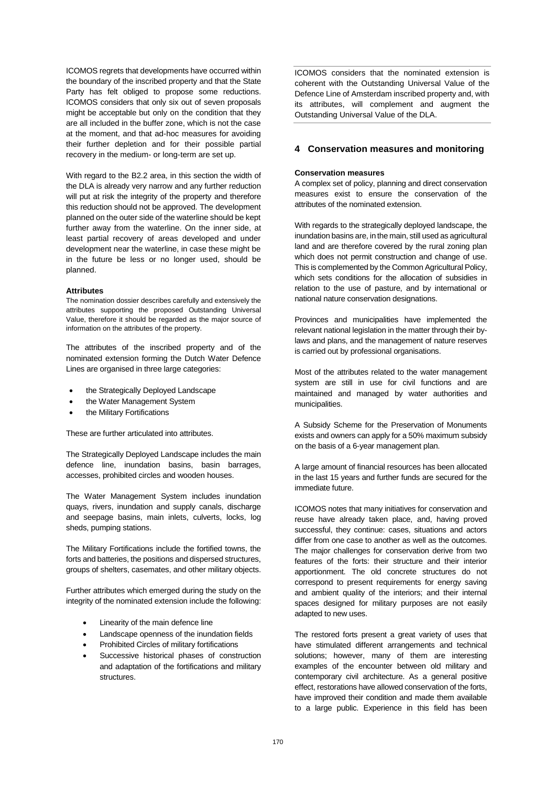ICOMOS regrets that developments have occurred within the boundary of the inscribed property and that the State Party has felt obliged to propose some reductions. ICOMOS considers that only six out of seven proposals might be acceptable but only on the condition that they are all included in the buffer zone, which is not the case at the moment, and that ad-hoc measures for avoiding their further depletion and for their possible partial recovery in the medium- or long-term are set up.

With regard to the B2.2 area, in this section the width of the DLA is already very narrow and any further reduction will put at risk the integrity of the property and therefore this reduction should not be approved. The development planned on the outer side of the waterline should be kept further away from the waterline. On the inner side, at least partial recovery of areas developed and under development near the waterline, in case these might be in the future be less or no longer used, should be planned.

#### **Attributes**

The nomination dossier describes carefully and extensively the attributes supporting the proposed Outstanding Universal Value, therefore it should be regarded as the major source of information on the attributes of the property.

The attributes of the inscribed property and of the nominated extension forming the Dutch Water Defence Lines are organised in three large categories:

- the Strategically Deployed Landscape
- the Water Management System
- the Military Fortifications

These are further articulated into attributes.

The Strategically Deployed Landscape includes the main defence line, inundation basins, basin barrages, accesses, prohibited circles and wooden houses.

The Water Management System includes inundation quays, rivers, inundation and supply canals, discharge and seepage basins, main inlets, culverts, locks, log sheds, pumping stations.

The Military Fortifications include the fortified towns, the forts and batteries, the positions and dispersed structures, groups of shelters, casemates, and other military objects.

Further attributes which emerged during the study on the integrity of the nominated extension include the following:

- Linearity of the main defence line
- Landscape openness of the inundation fields
- Prohibited Circles of military fortifications
- Successive historical phases of construction and adaptation of the fortifications and military structures.

ICOMOS considers that the nominated extension is coherent with the Outstanding Universal Value of the Defence Line of Amsterdam inscribed property and, with its attributes, will complement and augment the Outstanding Universal Value of the DLA.

# **4 Conservation measures and monitoring**

#### **Conservation measures**

A complex set of policy, planning and direct conservation measures exist to ensure the conservation of the attributes of the nominated extension.

With regards to the strategically deployed landscape, the inundation basins are, in the main, still used as agricultural land and are therefore covered by the rural zoning plan which does not permit construction and change of use. This is complemented by the Common Agricultural Policy, which sets conditions for the allocation of subsidies in relation to the use of pasture, and by international or national nature conservation designations.

Provinces and municipalities have implemented the relevant national legislation in the matter through their bylaws and plans, and the management of nature reserves is carried out by professional organisations.

Most of the attributes related to the water management system are still in use for civil functions and are maintained and managed by water authorities and municipalities.

A Subsidy Scheme for the Preservation of Monuments exists and owners can apply for a 50% maximum subsidy on the basis of a 6-year management plan.

A large amount of financial resources has been allocated in the last 15 years and further funds are secured for the immediate future.

ICOMOS notes that many initiatives for conservation and reuse have already taken place, and, having proved successful, they continue: cases, situations and actors differ from one case to another as well as the outcomes. The major challenges for conservation derive from two features of the forts: their structure and their interior apportionment. The old concrete structures do not correspond to present requirements for energy saving and ambient quality of the interiors; and their internal spaces designed for military purposes are not easily adapted to new uses.

The restored forts present a great variety of uses that have stimulated different arrangements and technical solutions; however, many of them are interesting examples of the encounter between old military and contemporary civil architecture. As a general positive effect, restorations have allowed conservation of the forts, have improved their condition and made them available to a large public. Experience in this field has been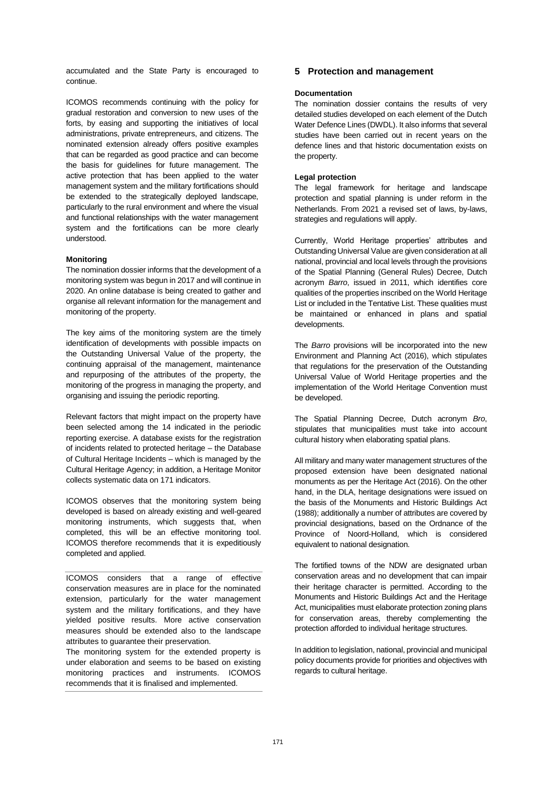accumulated and the State Party is encouraged to continue.

ICOMOS recommends continuing with the policy for gradual restoration and conversion to new uses of the forts, by easing and supporting the initiatives of local administrations, private entrepreneurs, and citizens. The nominated extension already offers positive examples that can be regarded as good practice and can become the basis for guidelines for future management. The active protection that has been applied to the water management system and the military fortifications should be extended to the strategically deployed landscape, particularly to the rural environment and where the visual and functional relationships with the water management system and the fortifications can be more clearly understood.

### **Monitoring**

The nomination dossier informs that the development of a monitoring system was begun in 2017 and will continue in 2020. An online database is being created to gather and organise all relevant information for the management and monitoring of the property.

The key aims of the monitoring system are the timely identification of developments with possible impacts on the Outstanding Universal Value of the property, the continuing appraisal of the management, maintenance and repurposing of the attributes of the property, the monitoring of the progress in managing the property, and organising and issuing the periodic reporting.

Relevant factors that might impact on the property have been selected among the 14 indicated in the periodic reporting exercise. A database exists for the registration of incidents related to protected heritage – the Database of Cultural Heritage Incidents – which is managed by the Cultural Heritage Agency; in addition, a Heritage Monitor collects systematic data on 171 indicators.

ICOMOS observes that the monitoring system being developed is based on already existing and well-geared monitoring instruments, which suggests that, when completed, this will be an effective monitoring tool. ICOMOS therefore recommends that it is expeditiously completed and applied.

ICOMOS considers that a range of effective conservation measures are in place for the nominated extension, particularly for the water management system and the military fortifications, and they have yielded positive results. More active conservation measures should be extended also to the landscape attributes to guarantee their preservation.

The monitoring system for the extended property is under elaboration and seems to be based on existing monitoring practices and instruments. ICOMOS recommends that it is finalised and implemented.

# **5 Protection and management**

# **Documentation**

The nomination dossier contains the results of very detailed studies developed on each element of the Dutch Water Defence Lines (DWDL). It also informs that several studies have been carried out in recent years on the defence lines and that historic documentation exists on the property.

# **Legal protection**

The legal framework for heritage and landscape protection and spatial planning is under reform in the Netherlands. From 2021 a revised set of laws, by-laws, strategies and regulations will apply.

Currently, World Heritage properties' attributes and Outstanding Universal Value are given consideration at all national, provincial and local levels through the provisions of the Spatial Planning (General Rules) Decree, Dutch acronym *Barro*, issued in 2011, which identifies core qualities of the properties inscribed on the World Heritage List or included in the Tentative List. These qualities must be maintained or enhanced in plans and spatial developments.

The *Barro* provisions will be incorporated into the new Environment and Planning Act (2016), which stipulates that regulations for the preservation of the Outstanding Universal Value of World Heritage properties and the implementation of the World Heritage Convention must be developed.

The Spatial Planning Decree, Dutch acronym *Bro*, stipulates that municipalities must take into account cultural history when elaborating spatial plans.

All military and many water management structures of the proposed extension have been designated national monuments as per the Heritage Act (2016). On the other hand, in the DLA, heritage designations were issued on the basis of the Monuments and Historic Buildings Act (1988); additionally a number of attributes are covered by provincial designations, based on the Ordnance of the Province of Noord-Holland, which is considered equivalent to national designation.

The fortified towns of the NDW are designated urban conservation areas and no development that can impair their heritage character is permitted. According to the Monuments and Historic Buildings Act and the Heritage Act, municipalities must elaborate protection zoning plans for conservation areas, thereby complementing the protection afforded to individual heritage structures.

In addition to legislation, national, provincial and municipal policy documents provide for priorities and objectives with regards to cultural heritage.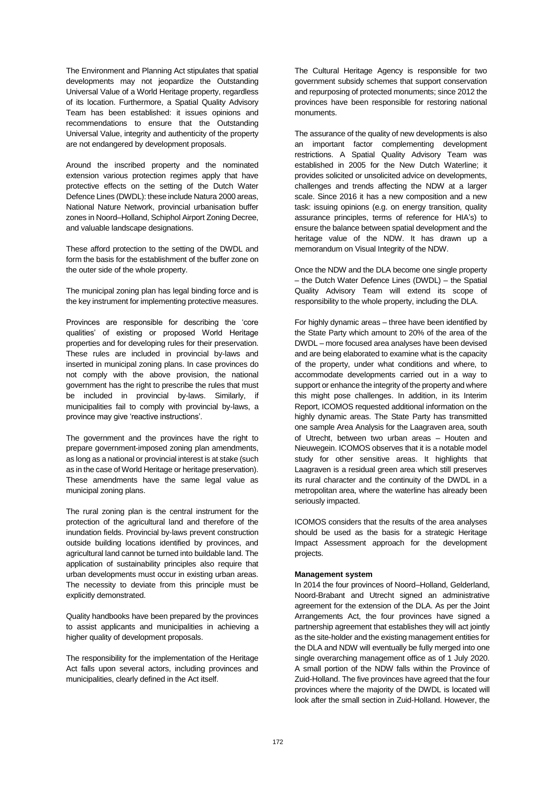The Environment and Planning Act stipulates that spatial developments may not jeopardize the Outstanding Universal Value of a World Heritage property, regardless of its location. Furthermore, a Spatial Quality Advisory Team has been established: it issues opinions and recommendations to ensure that the Outstanding Universal Value, integrity and authenticity of the property are not endangered by development proposals.

Around the inscribed property and the nominated extension various protection regimes apply that have protective effects on the setting of the Dutch Water Defence Lines (DWDL): these include Natura 2000 areas, National Nature Network, provincial urbanisation buffer zones in Noord–Holland, Schiphol Airport Zoning Decree, and valuable landscape designations.

These afford protection to the setting of the DWDL and form the basis for the establishment of the buffer zone on the outer side of the whole property.

The municipal zoning plan has legal binding force and is the key instrument for implementing protective measures.

Provinces are responsible for describing the 'core qualities' of existing or proposed World Heritage properties and for developing rules for their preservation. These rules are included in provincial by-laws and inserted in municipal zoning plans. In case provinces do not comply with the above provision, the national government has the right to prescribe the rules that must be included in provincial by-laws. Similarly, if municipalities fail to comply with provincial by-laws, a province may give 'reactive instructions'.

The government and the provinces have the right to prepare government-imposed zoning plan amendments, as long as a national or provincial interest is at stake (such as in the case of World Heritage or heritage preservation). These amendments have the same legal value as municipal zoning plans.

The rural zoning plan is the central instrument for the protection of the agricultural land and therefore of the inundation fields. Provincial by-laws prevent construction outside building locations identified by provinces, and agricultural land cannot be turned into buildable land. The application of sustainability principles also require that urban developments must occur in existing urban areas. The necessity to deviate from this principle must be explicitly demonstrated.

Quality handbooks have been prepared by the provinces to assist applicants and municipalities in achieving a higher quality of development proposals.

The responsibility for the implementation of the Heritage Act falls upon several actors, including provinces and municipalities, clearly defined in the Act itself.

The Cultural Heritage Agency is responsible for two government subsidy schemes that support conservation and repurposing of protected monuments; since 2012 the provinces have been responsible for restoring national monuments.

The assurance of the quality of new developments is also an important factor complementing development restrictions. A Spatial Quality Advisory Team was established in 2005 for the New Dutch Waterline; it provides solicited or unsolicited advice on developments, challenges and trends affecting the NDW at a larger scale. Since 2016 it has a new composition and a new task: issuing opinions (e.g. on energy transition, quality assurance principles, terms of reference for HIA's) to ensure the balance between spatial development and the heritage value of the NDW. It has drawn up a memorandum on Visual Integrity of the NDW.

Once the NDW and the DLA become one single property – the Dutch Water Defence Lines (DWDL) – the Spatial Quality Advisory Team will extend its scope of responsibility to the whole property, including the DLA.

For highly dynamic areas – three have been identified by the State Party which amount to 20% of the area of the DWDL – more focused area analyses have been devised and are being elaborated to examine what is the capacity of the property, under what conditions and where, to accommodate developments carried out in a way to support or enhance the integrity of the property and where this might pose challenges. In addition, in its Interim Report, ICOMOS requested additional information on the highly dynamic areas. The State Party has transmitted one sample Area Analysis for the Laagraven area, south of Utrecht, between two urban areas – Houten and Nieuwegein. ICOMOS observes that it is a notable model study for other sensitive areas. It highlights that Laagraven is a residual green area which still preserves its rural character and the continuity of the DWDL in a metropolitan area, where the waterline has already been seriously impacted.

ICOMOS considers that the results of the area analyses should be used as the basis for a strategic Heritage Impact Assessment approach for the development projects.

#### **Management system**

In 2014 the four provinces of Noord–Holland, Gelderland, Noord-Brabant and Utrecht signed an administrative agreement for the extension of the DLA. As per the Joint Arrangements Act, the four provinces have signed a partnership agreement that establishes they will act jointly as the site-holder and the existing management entities for the DLA and NDW will eventually be fully merged into one single overarching management office as of 1 July 2020. A small portion of the NDW falls within the Province of Zuid-Holland. The five provinces have agreed that the four provinces where the majority of the DWDL is located will look after the small section in Zuid-Holland. However, the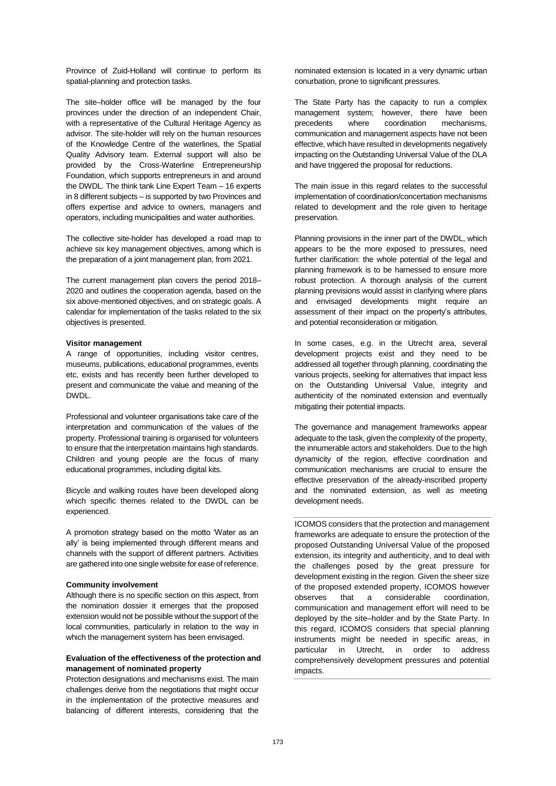Province of Zuid-Holland will continue to perform its spatial-planning and protection tasks.

The site–holder office will be managed by the four provinces under the direction of an independent Chair, with a representative of the Cultural Heritage Agency as advisor. The site-holder will rely on the human resources of the Knowledge Centre of the waterlines, the Spatial Quality Advisory team. External support will also be provided by the Cross-Waterline Entrepreneurship Foundation, which supports entrepreneurs in and around the DWDL. The think tank Line Expert Team – 16 experts in 8 different subjects – is supported by two Provinces and offers expertise and advice to owners, managers and operators, including municipalities and water authorities.

The collective site-holder has developed a road map to achieve six key management objectives, among which is the preparation of a joint management plan, from 2021.

The current management plan covers the period 2018– 2020 and outlines the cooperation agenda, based on the six above-mentioned objectives, and on strategic goals. A calendar for implementation of the tasks related to the six objectives is presented.

# **Visitor management**

A range of opportunities, including visitor centres, museums, publications, educational programmes, events etc, exists and has recently been further developed to present and communicate the value and meaning of the DWDL.

Professional and volunteer organisations take care of the interpretation and communication of the values of the property. Professional training is organised for volunteers to ensure that the interpretation maintains high standards. Children and young people are the focus of many educational programmes, including digital kits.

Bicycle and walking routes have been developed along which specific themes related to the DWDL can be experienced.

A promotion strategy based on the motto 'Water as an ally' is being implemented through different means and channels with the support of different partners. Activities are gathered into one single website for ease of reference.

#### **Community involvement**

Although there is no specific section on this aspect, from the nomination dossier it emerges that the proposed extension would not be possible without the support of the local communities, particularly in relation to the way in which the management system has been envisaged.

# **Evaluation of the effectiveness of the protection and management of nominated property**

Protection designations and mechanisms exist. The main challenges derive from the negotiations that might occur in the implementation of the protective measures and balancing of different interests, considering that the

nominated extension is located in a very dynamic urban conurbation, prone to significant pressures.

The State Party has the capacity to run a complex management system; however, there have been precedents where coordination mechanisms, communication and management aspects have not been effective, which have resulted in developments negatively impacting on the Outstanding Universal Value of the DLA and have triggered the proposal for reductions.

The main issue in this regard relates to the successful implementation of coordination/concertation mechanisms related to development and the role given to heritage preservation.

Planning provisions in the inner part of the DWDL, which appears to be the more exposed to pressures, need further clarification: the whole potential of the legal and planning framework is to be harnessed to ensure more robust protection. A thorough analysis of the current planning previsions would assist in clarifying where plans and envisaged developments might require an assessment of their impact on the property's attributes, and potential reconsideration or mitigation.

In some cases, e.g. in the Utrecht area, several development projects exist and they need to be addressed all together through planning, coordinating the various projects, seeking for alternatives that impact less on the Outstanding Universal Value, integrity and authenticity of the nominated extension and eventually mitigating their potential impacts.

The governance and management frameworks appear adequate to the task, given the complexity of the property, the innumerable actors and stakeholders. Due to the high dynamicity of the region, effective coordination and communication mechanisms are crucial to ensure the effective preservation of the already-inscribed property and the nominated extension, as well as meeting development needs.

ICOMOS considers that the protection and management frameworks are adequate to ensure the protection of the proposed Outstanding Universal Value of the proposed extension, its integrity and authenticity, and to deal with the challenges posed by the great pressure for development existing in the region. Given the sheer size of the proposed extended property, ICOMOS however observes that a considerable coordination, communication and management effort will need to be deployed by the site–holder and by the State Party. In this regard, ICOMOS considers that special planning instruments might be needed in specific areas, in particular in Utrecht, in order to address comprehensively development pressures and potential impacts.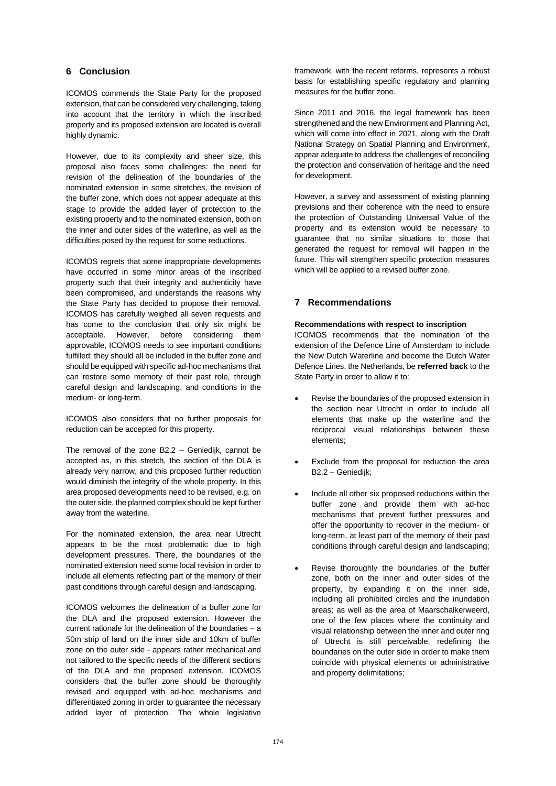# **6 Conclusion**

ICOMOS commends the State Party for the proposed extension, that can be considered very challenging, taking into account that the territory in which the inscribed property and its proposed extension are located is overall highly dynamic.

However, due to its complexity and sheer size, this proposal also faces some challenges: the need for revision of the delineation of the boundaries of the nominated extension in some stretches, the revision of the buffer zone, which does not appear adequate at this stage to provide the added layer of protection to the existing property and to the nominated extension, both on the inner and outer sides of the waterline, as well as the difficulties posed by the request for some reductions.

ICOMOS regrets that some inappropriate developments have occurred in some minor areas of the inscribed property such that their integrity and authenticity have been compromised, and understands the reasons why the State Party has decided to propose their removal. ICOMOS has carefully weighed all seven requests and has come to the conclusion that only six might be acceptable. However, before considering them approvable, ICOMOS needs to see important conditions fulfilled: they should all be included in the buffer zone and should be equipped with specific ad-hoc mechanisms that can restore some memory of their past role, through careful design and landscaping, and conditions in the medium- or long-term.

ICOMOS also considers that no further proposals for reduction can be accepted for this property.

The removal of the zone B2.2 – Geniedijk, cannot be accepted as, in this stretch, the section of the DLA is already very narrow, and this proposed further reduction would diminish the integrity of the whole property. In this area proposed developments need to be revised, e.g. on the outer side, the planned complex should be kept further away from the waterline.

For the nominated extension, the area near Utrecht appears to be the most problematic due to high development pressures. There, the boundaries of the nominated extension need some local revision in order to include all elements reflecting part of the memory of their past conditions through careful design and landscaping.

ICOMOS welcomes the delineation of a buffer zone for the DLA and the proposed extension. However the current rationale for the delineation of the boundaries – a 50m strip of land on the inner side and 10km of buffer zone on the outer side - appears rather mechanical and not tailored to the specific needs of the different sections of the DLA and the proposed extension. ICOMOS considers that the buffer zone should be thoroughly revised and equipped with ad-hoc mechanisms and differentiated zoning in order to guarantee the necessary added layer of protection. The whole legislative

framework, with the recent reforms, represents a robust basis for establishing specific regulatory and planning measures for the buffer zone.

Since 2011 and 2016, the legal framework has been strengthened and the new Environment and Planning Act, which will come into effect in 2021, along with the Draft National Strategy on Spatial Planning and Environment, appear adequate to address the challenges of reconciling the protection and conservation of heritage and the need for development.

However, a survey and assessment of existing planning previsions and their coherence with the need to ensure the protection of Outstanding Universal Value of the property and its extension would be necessary to guarantee that no similar situations to those that generated the request for removal will happen in the future. This will strengthen specific protection measures which will be applied to a revised buffer zone.

# **7 Recommendations**

# **Recommendations with respect to inscription**

ICOMOS recommends that the nomination of the extension of the Defence Line of Amsterdam to include the New Dutch Waterline and become the Dutch Water Defence Lines, the Netherlands, be **referred back** to the State Party in order to allow it to:

- Revise the boundaries of the proposed extension in the section near Utrecht in order to include all elements that make up the waterline and the reciprocal visual relationships between these elements;
- Exclude from the proposal for reduction the area B2.2 – Geniedijk;
- Include all other six proposed reductions within the buffer zone and provide them with ad-hoc mechanisms that prevent further pressures and offer the opportunity to recover in the medium- or long-term, at least part of the memory of their past conditions through careful design and landscaping;
- Revise thoroughly the boundaries of the buffer zone, both on the inner and outer sides of the property, by expanding it on the inner side, including all prohibited circles and the inundation areas; as well as the area of Maarschalkerweerd, one of the few places where the continuity and visual relationship between the inner and outer ring of Utrecht is still perceivable, redefining the boundaries on the outer side in order to make them coincide with physical elements or administrative and property delimitations;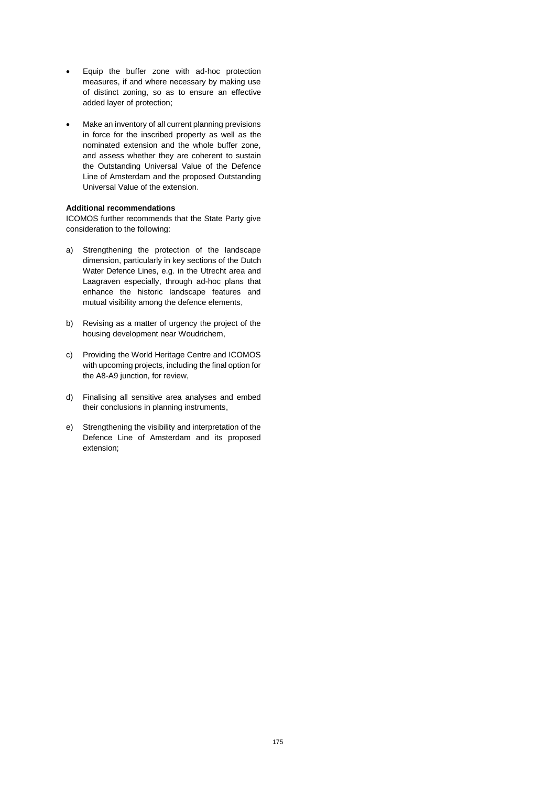- Equip the buffer zone with ad-hoc protection measures, if and where necessary by making use of distinct zoning, so as to ensure an effective added layer of protection;
- Make an inventory of all current planning previsions in force for the inscribed property as well as the nominated extension and the whole buffer zone, and assess whether they are coherent to sustain the Outstanding Universal Value of the Defence Line of Amsterdam and the proposed Outstanding Universal Value of the extension.

# **Additional recommendations**

ICOMOS further recommends that the State Party give consideration to the following:

- a) Strengthening the protection of the landscape dimension, particularly in key sections of the Dutch Water Defence Lines, e.g. in the Utrecht area and Laagraven especially, through ad-hoc plans that enhance the historic landscape features and mutual visibility among the defence elements,
- b) Revising as a matter of urgency the project of the housing development near Woudrichem,
- c) Providing the World Heritage Centre and ICOMOS with upcoming projects, including the final option for the A8-A9 junction, for review,
- d) Finalising all sensitive area analyses and embed their conclusions in planning instruments,
- e) Strengthening the visibility and interpretation of the Defence Line of Amsterdam and its proposed extension;